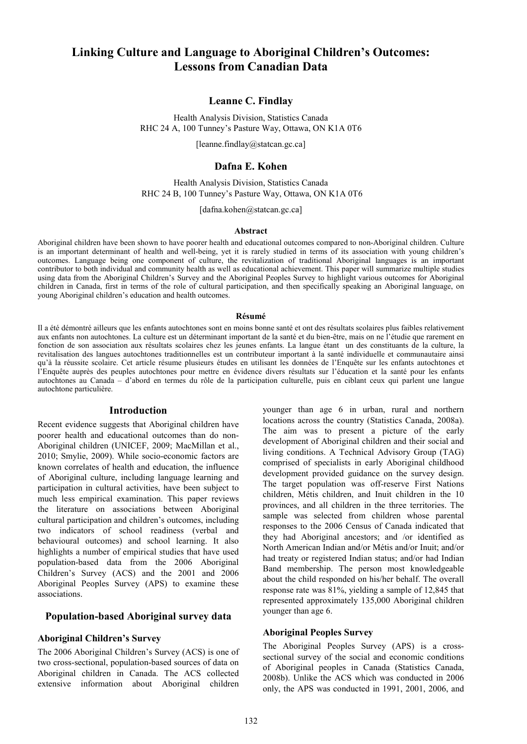# **Linking Culture and Language to Aboriginal Children's Outcomes: Lessons from Canadian Data**

# **Leanne C. Findlay**

Health Analysis Division, Statistics Canada RHC 24 A, 100 Tunney's Pasture Way, Ottawa, ON K1A 0T6

[leanne.findlay@statcan.gc.ca]

# **Dafna E. Kohen**

Health Analysis Division, Statistics Canada RHC 24 B, 100 Tunney's Pasture Way, Ottawa, ON K1A 0T6

[dafna.kohen@statcan.gc.ca]

#### **Abstract**

Aboriginal children have been shown to have poorer health and educational outcomes compared to non-Aboriginal children. Culture is an important determinant of health and well-being, yet it is rarely studied in terms of its association with young children's outcomes. Language being one component of culture, the revitalization of traditional Aboriginal languages is an important contributor to both individual and community health as well as educational achievement. This paper will summarize multiple studies using data from the Aboriginal Children's Survey and the Aboriginal Peoples Survey to highlight various outcomes for Aboriginal children in Canada, first in terms of the role of cultural participation, and then specifically speaking an Aboriginal language, on young Aboriginal children's education and health outcomes.

#### **Résumé**

Il a été démontré ailleurs que les enfants autochtones sont en moins bonne santé et ont des résultats scolaires plus faibles relativement aux enfants non autochtones. La culture est un déterminant important de la santé et du bien-être, mais on ne l'étudie que rarement en fonction de son association aux résultats scolaires chez les jeunes enfants. La langue étant un des constituants de la culture, la revitalisation des langues autochtones traditionnelles est un contributeur important à la santé individuelle et communautaire ainsi qu'à la réussite scolaire. Cet article résume plusieurs études en utilisant les données de l'Enquête sur les enfants autochtones et l'Enquête auprès des peuples autochtones pour mettre en évidence divers résultats sur l'éducation et la santé pour les enfants autochtones au Canada – d'abord en termes du rôle de la participation culturelle, puis en ciblant ceux qui parlent une langue autochtone particulière.

#### **Introduction**

Recent evidence suggests that Aboriginal children have poorer health and educational outcomes than do non-Aboriginal children (UNICEF, 2009; MacMillan et al., 2010; Smylie, 2009). While socio-economic factors are known correlates of health and education, the influence of Aboriginal culture, including language learning and participation in cultural activities, have been subject to much less empirical examination. This paper reviews the literature on associations between Aboriginal cultural participation and children's outcomes, including two indicators of school readiness (verbal and behavioural outcomes) and school learning. It also highlights a number of empirical studies that have used population-based data from the 2006 Aboriginal Children's Survey (ACS) and the 2001 and 2006 Aboriginal Peoples Survey (APS) to examine these associations.

# **Population-based Aboriginal survey data**

#### **Aboriginal Children's Survey**

The 2006 Aboriginal Children's Survey (ACS) is one of two cross-sectional, population-based sources of data on Aboriginal children in Canada. The ACS collected extensive information about Aboriginal children

younger than age 6 in urban, rural and northern locations across the country (Statistics Canada, 2008a). The aim was to present a picture of the early development of Aboriginal children and their social and living conditions. A Technical Advisory Group (TAG) comprised of specialists in early Aboriginal childhood development provided guidance on the survey design. The target population was off-reserve First Nations children, Métis children, and Inuit children in the 10 provinces, and all children in the three territories. The sample was selected from children whose parental responses to the 2006 Census of Canada indicated that they had Aboriginal ancestors; and /or identified as North American Indian and/or Métis and/or Inuit; and/or had treaty or registered Indian status; and/or had Indian Band membership. The person most knowledgeable about the child responded on his/her behalf. The overall response rate was 81%, yielding a sample of 12,845 that represented approximately 135,000 Aboriginal children younger than age 6.

### **Aboriginal Peoples Survey**

The Aboriginal Peoples Survey (APS) is a crosssectional survey of the social and economic conditions of Aboriginal peoples in Canada (Statistics Canada, 2008b). Unlike the ACS which was conducted in 2006 only, the APS was conducted in 1991, 2001, 2006, and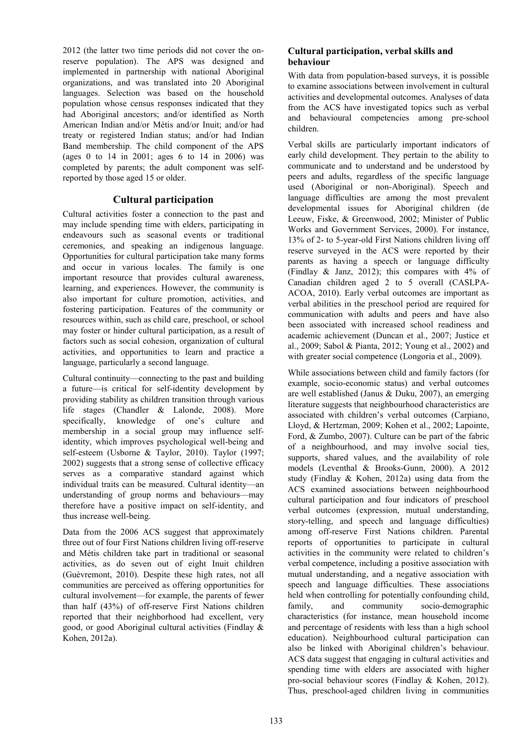2012 (the latter two time periods did not cover the onreserve population). The APS was designed and implemented in partnership with national Aboriginal organizations, and was translated into 20 Aboriginal languages. Selection was based on the household population whose census responses indicated that they had Aboriginal ancestors; and/or identified as North American Indian and/or Métis and/or Inuit; and/or had treaty or registered Indian status; and/or had Indian Band membership. The child component of the APS (ages 0 to 14 in 2001; ages 6 to 14 in 2006) was completed by parents; the adult component was selfreported by those aged 15 or older.

# **Cultural participation**

Cultural activities foster a connection to the past and may include spending time with elders, participating in endeavours such as seasonal events or traditional ceremonies, and speaking an indigenous language. Opportunities for cultural participation take many forms and occur in various locales. The family is one important resource that provides cultural awareness, learning, and experiences. However, the community is also important for culture promotion, activities, and fostering participation. Features of the community or resources within, such as child care, preschool, or school may foster or hinder cultural participation, as a result of factors such as social cohesion, organization of cultural activities, and opportunities to learn and practice a language, particularly a second language.

Cultural continuity—connecting to the past and building a future—is critical for self-identity development by providing stability as children transition through various life stages (Chandler & Lalonde, 2008). More<br>specifically, knowledge of one's culture and knowledge of one's culture and membership in a social group may influence selfidentity, which improves psychological well-being and self-esteem (Usborne & Taylor, 2010). Taylor (1997; 2002) suggests that a strong sense of collective efficacy serves as a comparative standard against which individual traits can be measured. Cultural identity—an understanding of group norms and behaviours—may therefore have a positive impact on self-identity, and thus increase well-being.

Data from the 2006 ACS suggest that approximately three out of four First Nations children living off-reserve and Métis children take part in traditional or seasonal activities, as do seven out of eight Inuit children (Guèvremont, 2010). Despite these high rates, not all communities are perceived as offering opportunities for cultural involvement—for example, the parents of fewer than half (43%) of off-reserve First Nations children reported that their neighborhood had excellent, very good, or good Aboriginal cultural activities (Findlay & Kohen, 2012a).

# **Cultural participation, verbal skills and behaviour**

With data from population-based surveys, it is possible to examine associations between involvement in cultural activities and developmental outcomes. Analyses of data from the ACS have investigated topics such as verbal and behavioural competencies among pre-school children.

Verbal skills are particularly important indicators of early child development. They pertain to the ability to communicate and to understand and be understood by peers and adults, regardless of the specific language used (Aboriginal or non-Aboriginal). Speech and language difficulties are among the most prevalent developmental issues for Aboriginal children (de Leeuw, Fiske, & Greenwood, 2002; Minister of Public Works and Government Services, 2000). For instance, 13% of 2- to 5-year-old First Nations children living off reserve surveyed in the ACS were reported by their parents as having a speech or language difficulty (Findlay & Janz, 2012); this compares with 4% of Canadian children aged 2 to 5 overall (CASLPA-ACOA, 2010). Early verbal outcomes are important as verbal abilities in the preschool period are required for communication with adults and peers and have also been associated with increased school readiness and academic achievement (Duncan et al., 2007; Justice et al., 2009; Sabol & Pianta, 2012; Young et al., 2002) and with greater social competence (Longoria et al., 2009).

While associations between child and family factors (for example, socio-economic status) and verbal outcomes are well established (Janus & Duku, 2007), an emerging literature suggests that neighbourhood characteristics are associated with children's verbal outcomes (Carpiano, Lloyd, & Hertzman, 2009; Kohen et al., 2002; Lapointe, Ford, & Zumbo, 2007). Culture can be part of the fabric of a neighbourhood, and may involve social ties, supports, shared values, and the availability of role models (Leventhal & Brooks-Gunn, 2000). A 2012 study (Findlay & Kohen, 2012a) using data from the ACS examined associations between neighbourhood cultural participation and four indicators of preschool verbal outcomes (expression, mutual understanding, story-telling, and speech and language difficulties) among off-reserve First Nations children. Parental reports of opportunities to participate in cultural activities in the community were related to children's verbal competence, including a positive association with mutual understanding, and a negative association with speech and language difficulties. These associations held when controlling for potentially confounding child, family, and community socio-demographic characteristics (for instance, mean household income and percentage of residents with less than a high school education). Neighbourhood cultural participation can also be linked with Aboriginal children's behaviour. ACS data suggest that engaging in cultural activities and spending time with elders are associated with higher pro-social behaviour scores (Findlay & Kohen, 2012). Thus, preschool-aged children living in communities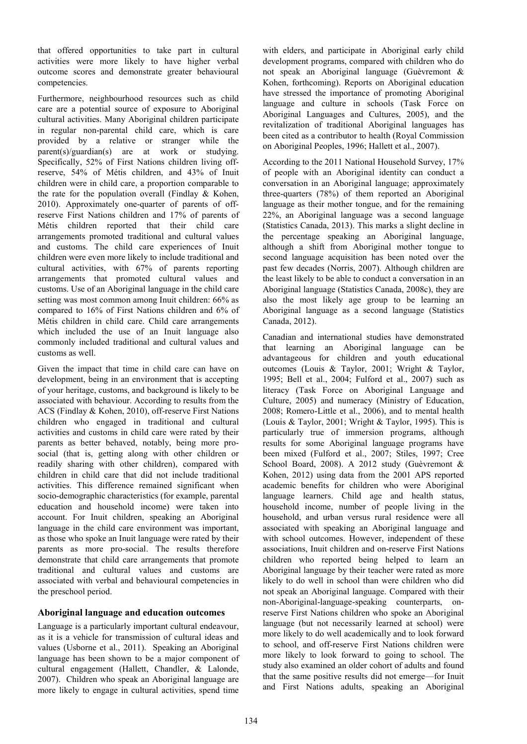that offered opportunities to take part in cultural activities were more likely to have higher verbal outcome scores and demonstrate greater behavioural competencies.

Furthermore, neighbourhood resources such as child care are a potential source of exposure to Aboriginal cultural activities. Many Aboriginal children participate in regular non-parental child care, which is care provided by a relative or stranger while the parent(s)/guardian(s) are at work or studying. Specifically, 52% of First Nations children living offreserve, 54% of Métis children, and 43% of Inuit children were in child care, a proportion comparable to the rate for the population overall (Findlay & Kohen, 2010). Approximately one-quarter of parents of offreserve First Nations children and 17% of parents of Métis children reported that their child care arrangements promoted traditional and cultural values and customs. The child care experiences of Inuit children were even more likely to include traditional and cultural activities, with 67% of parents reporting arrangements that promoted cultural values and customs. Use of an Aboriginal language in the child care setting was most common among Inuit children: 66% as compared to 16% of First Nations children and 6% of Métis children in child care. Child care arrangements which included the use of an Inuit language also commonly included traditional and cultural values and customs as well.

Given the impact that time in child care can have on development, being in an environment that is accepting of your heritage, customs, and background is likely to be associated with behaviour. According to results from the ACS (Findlay & Kohen, 2010), off-reserve First Nations children who engaged in traditional and cultural activities and customs in child care were rated by their parents as better behaved, notably, being more prosocial (that is, getting along with other children or readily sharing with other children), compared with children in child care that did not include traditional activities. This difference remained significant when socio-demographic characteristics (for example, parental education and household income) were taken into account. For Inuit children, speaking an Aboriginal language in the child care environment was important, as those who spoke an Inuit language were rated by their parents as more pro-social. The results therefore demonstrate that child care arrangements that promote traditional and cultural values and customs are associated with verbal and behavioural competencies in the preschool period.

# **Aboriginal language and education outcomes**

Language is a particularly important cultural endeavour, as it is a vehicle for transmission of cultural ideas and values (Usborne et al., 2011). Speaking an Aboriginal language has been shown to be a major component of cultural engagement (Hallett, Chandler, & Lalonde, 2007). Children who speak an Aboriginal language are more likely to engage in cultural activities, spend time

with elders, and participate in Aboriginal early child development programs, compared with children who do not speak an Aboriginal language (Guèvremont & Kohen, forthcoming). Reports on Aboriginal education have stressed the importance of promoting Aboriginal language and culture in schools (Task Force on Aboriginal Languages and Cultures, 2005), and the revitalization of traditional Aboriginal languages has been cited as a contributor to health (Royal Commission on Aboriginal Peoples, 1996; Hallett et al., 2007).

According to the 2011 National Household Survey, 17% of people with an Aboriginal identity can conduct a conversation in an Aboriginal language; approximately three-quarters (78%) of them reported an Aboriginal language as their mother tongue, and for the remaining 22%, an Aboriginal language was a second language (Statistics Canada, 2013). This marks a slight decline in the percentage speaking an Aboriginal language, although a shift from Aboriginal mother tongue to second language acquisition has been noted over the past few decades (Norris, 2007). Although children are the least likely to be able to conduct a conversation in an Aboriginal language (Statistics Canada, 2008c), they are also the most likely age group to be learning an Aboriginal language as a second language (Statistics Canada, 2012).

Canadian and international studies have demonstrated that learning an Aboriginal language can be advantageous for children and youth educational outcomes (Louis & Taylor, 2001; Wright & Taylor, 1995; Bell et al., 2004; Fulford et al., 2007) such as literacy (Task Force on Aboriginal Language and Culture, 2005) and numeracy (Ministry of Education, 2008; Romero-Little et al., 2006), and to mental health (Louis & Taylor, 2001; Wright & Taylor, 1995). This is particularly true of immersion programs, although results for some Aboriginal language programs have been mixed (Fulford et al., 2007; Stiles, 1997; Cree School Board, 2008). A 2012 study (Guèvremont & Kohen, 2012) using data from the 2001 APS reported academic benefits for children who were Aboriginal language learners. Child age and health status, household income, number of people living in the household, and urban versus rural residence were all associated with speaking an Aboriginal language and with school outcomes. However, independent of these associations, Inuit children and on-reserve First Nations children who reported being helped to learn an Aboriginal language by their teacher were rated as more likely to do well in school than were children who did not speak an Aboriginal language. Compared with their non-Aboriginal-language-speaking counterparts, onreserve First Nations children who spoke an Aboriginal language (but not necessarily learned at school) were more likely to do well academically and to look forward to school, and off-reserve First Nations children were more likely to look forward to going to school. The study also examined an older cohort of adults and found that the same positive results did not emerge—for Inuit and First Nations adults, speaking an Aboriginal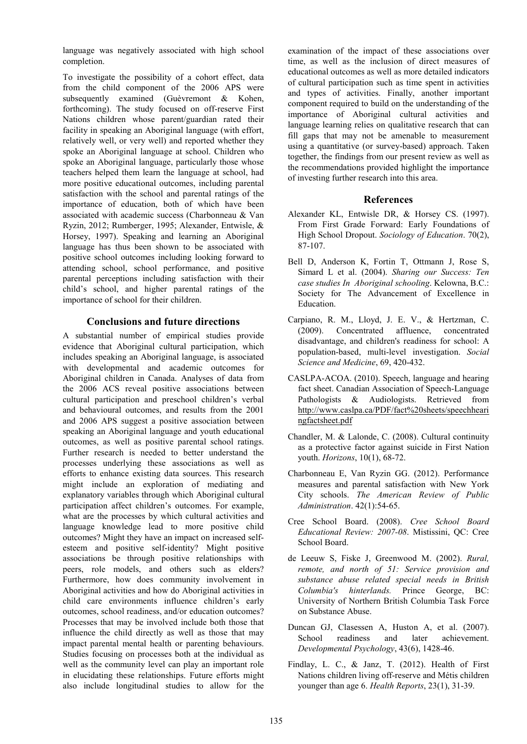language was negatively associated with high school completion.

To investigate the possibility of a cohort effect, data from the child component of the 2006 APS were subsequently examined (Guèvremont & Kohen, forthcoming). The study focused on off-reserve First Nations children whose parent/guardian rated their facility in speaking an Aboriginal language (with effort, relatively well, or very well) and reported whether they spoke an Aboriginal language at school. Children who spoke an Aboriginal language, particularly those whose teachers helped them learn the language at school, had more positive educational outcomes, including parental satisfaction with the school and parental ratings of the importance of education, both of which have been associated with academic success (Charbonneau & Van Ryzin, 2012; Rumberger, 1995; Alexander, Entwisle, & Horsey, 1997). Speaking and learning an Aboriginal language has thus been shown to be associated with positive school outcomes including looking forward to attending school, school performance, and positive parental perceptions including satisfaction with their child's school, and higher parental ratings of the importance of school for their children.

# **Conclusions and future directions**

A substantial number of empirical studies provide evidence that Aboriginal cultural participation, which includes speaking an Aboriginal language, is associated with developmental and academic outcomes for Aboriginal children in Canada. Analyses of data from the 2006 ACS reveal positive associations between cultural participation and preschool children's verbal and behavioural outcomes, and results from the 2001 and 2006 APS suggest a positive association between speaking an Aboriginal language and youth educational outcomes, as well as positive parental school ratings. Further research is needed to better understand the processes underlying these associations as well as efforts to enhance existing data sources. This research might include an exploration of mediating and explanatory variables through which Aboriginal cultural participation affect children's outcomes. For example, what are the processes by which cultural activities and language knowledge lead to more positive child outcomes? Might they have an impact on increased selfesteem and positive self-identity? Might positive associations be through positive relationships with peers, role models, and others such as elders? Furthermore, how does community involvement in Aboriginal activities and how do Aboriginal activities in child care environments influence children's early outcomes, school readiness, and/or education outcomes? Processes that may be involved include both those that influence the child directly as well as those that may impact parental mental health or parenting behaviours. Studies focusing on processes both at the individual as well as the community level can play an important role in elucidating these relationships. Future efforts might also include longitudinal studies to allow for the

examination of the impact of these associations over time, as well as the inclusion of direct measures of educational outcomes as well as more detailed indicators of cultural participation such as time spent in activities and types of activities. Finally, another important component required to build on the understanding of the importance of Aboriginal cultural activities and language learning relies on qualitative research that can fill gaps that may not be amenable to measurement using a quantitative (or survey-based) approach. Taken together, the findings from our present review as well as the recommendations provided highlight the importance of investing further research into this area.

# **References**

- Alexander KL, Entwisle DR, & Horsey CS. (1997). From First Grade Forward: Early Foundations of High School Dropout. *Sociology of Education*. 70(2), 87-107.
- Bell D, Anderson K, Fortin T, Ottmann J, Rose S, Simard L et al. (2004). *Sharing our Success: Ten case studies In Aboriginal schooling*. Kelowna, B.C.: Society for The Advancement of Excellence in Education.
- Carpiano, R. M., Lloyd, J. E. V., & Hertzman, C. (2009). Concentrated affluence, concentrated disadvantage, and children's readiness for school: A population-based, multi-level investigation. *Social Science and Medicine*, 69, 420-432.
- CASLPA-ACOA. (2010). Speech, language and hearing fact sheet. Canadian Association of Speech-Language Pathologists & Audiologists. Retrieved from [http://www.caslpa.ca/PDF/fact%20sheets/speechheari](http://www.caslpa.ca/PDF/fact%20sheets/speechhearingfactsheet.pdf) [ngfactsheet.pdf](http://www.caslpa.ca/PDF/fact%20sheets/speechhearingfactsheet.pdf)
- Chandler, M. & Lalonde, C. (2008). Cultural continuity as a protective factor against suicide in First Nation youth. *Horizons*, 10(1), 68-72.
- Charbonneau E, Van Ryzin GG. (2012). Performance measures and parental satisfaction with New York City schools. *The American Review of Public Administration*. 42(1):54-65.
- Cree School Board. (2008). *Cree School Board Educational Review: 2007-08*. Mistissini, QC: Cree School Board.
- de Leeuw S, Fiske J, Greenwood M. (2002). *Rural, remote, and north of 51: Service provision and substance abuse related special needs in British Columbia's hinterlands.* Prince George, BC: University of Northern British Columbia Task Force on Substance Abuse.
- Duncan GJ, Clasessen A, Huston A, et al. (2007). School readiness and later achievement. *Developmental Psychology*, 43(6), 1428-46.
- Findlay, L. C., & Janz, T. (2012). Health of First Nations children living off-reserve and Métis children younger than age 6. *Health Reports*, 23(1), 31-39.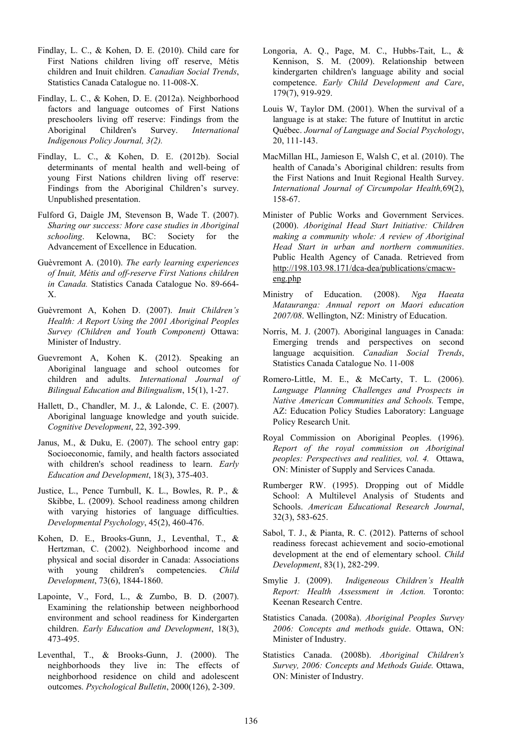- Findlay, L. C., & Kohen, D. E. (2010). Child care for First Nations children living off reserve, Métis children and Inuit children. *Canadian Social Trends*, Statistics Canada Catalogue no. 11-008-X.
- Findlay, L. C., & Kohen, D. E. (2012a). Neighborhood factors and language outcomes of First Nations preschoolers living off reserve: Findings from the Aboriginal Children's Survey. *International* Aboriginal Children's Survey. *International Indigenous Policy Journal, 3(2).*
- Findlay, L. C., & Kohen, D. E. (2012b). Social determinants of mental health and well-being of young First Nations children living off reserve: Findings from the Aboriginal Children's survey. Unpublished presentation.
- Fulford G, Daigle JM, Stevenson B, Wade T. (2007). *Sharing our success: More case studies in Aboriginal schooling*. Kelowna, BC: Society for the Advancement of Excellence in Education.
- Guèvremont A. (2010). *The early learning experiences of Inuit, Métis and off-reserve First Nations children in Canada.* Statistics Canada Catalogue No. 89-664- X.
- Guèvremont A, Kohen D. (2007). *Inuit Children's Health: A Report Using the 2001 Aboriginal Peoples Survey (Children and Youth Component)* Ottawa: Minister of Industry.
- Guevremont A, Kohen K. (2012). Speaking an Aboriginal language and school outcomes for children and adults. *International Journal of Bilingual Education and Bilingualism*, 15(1), 1-27.
- Hallett, D., Chandler, M. J., & Lalonde, C. E. (2007). Aboriginal language knowledge and youth suicide. *Cognitive Development*, 22, 392-399.
- Janus, M., & Duku, E. (2007). The school entry gap: Socioeconomic, family, and health factors associated with children's school readiness to learn. *Early Education and Development*, 18(3), 375-403.
- Justice, L., Pence Turnbull, K. L., Bowles, R. P., & Skibbe, L. (2009). School readiness among children with varying histories of language difficulties. *Developmental Psychology*, 45(2), 460-476.
- Kohen, D. E., Brooks-Gunn, J., Leventhal, T., & Hertzman, C. (2002). Neighborhood income and physical and social disorder in Canada: Associations with young children's competencies. *Child Development*, 73(6), 1844-1860.
- Lapointe, V., Ford, L., & Zumbo, B. D. (2007). Examining the relationship between neighborhood environment and school readiness for Kindergarten children. *Early Education and Development*, 18(3), 473-495.
- Leventhal, T., & Brooks-Gunn, J. (2000). The neighborhoods they live in: The effects of neighborhood residence on child and adolescent outcomes. *Psychological Bulletin*, 2000(126), 2-309.
- Longoria, A. Q., Page, M. C., Hubbs-Tait, L., & Kennison, S. M. (2009). Relationship between kindergarten children's language ability and social competence. *Early Child Development and Care*, 179(7), 919-929.
- Louis W, Taylor DM. (2001). When the survival of a language is at stake: The future of Inuttitut in arctic Québec. *Journal of Language and Social Psychology*, 20, 111-143.
- MacMillan HL, Jamieson E, Walsh C, et al. (2010). The health of Canada's Aboriginal children: results from the First Nations and Inuit Regional Health Survey. *International Journal of Circumpolar Health,*69(2), 158-67.
- Minister of Public Works and Government Services. (2000). *Aboriginal Head Start Initiative: Children making a community whole: A review of Aboriginal Head Start in urban and northern communities*. Public Health Agency of Canada. Retrieved from [http://198.103.98.171/dca-dea/publications/cmacw](http://198.103.98.171/dca-dea/publications/cmacw-eng.php)[eng.php](http://198.103.98.171/dca-dea/publications/cmacw-eng.php)
- Ministry of Education. (2008). *Nga Haeata Matauranga: Annual report on Maori education 2007/08*. Wellington, NZ: Ministry of Education.
- Norris, M. J. (2007). Aboriginal languages in Canada: Emerging trends and perspectives on second language acquisition. *Canadian Social Trends*, Statistics Canada Catalogue No. 11-008
- Romero-Little, M. E., & McCarty, T. L. (2006). *Language Planning Challenges and Prospects in Native American Communities and Schools.* Tempe, AZ: Education Policy Studies Laboratory: Language Policy Research Unit.
- Royal Commission on Aboriginal Peoples. (1996). *Report of the royal commission on Aboriginal peoples: Perspectives and realities, vol. 4.* Ottawa, ON: Minister of Supply and Services Canada.
- Rumberger RW. (1995). Dropping out of Middle School: A Multilevel Analysis of Students and Schools. *American Educational Research Journal*, 32(3), 583-625.
- Sabol, T. J., & Pianta, R. C. (2012). Patterns of school readiness forecast achievement and socio-emotional development at the end of elementary school. *Child Development*, 83(1), 282-299.
- Smylie J. (2009). *Indigeneous Children's Health Report: Health Assessment in Action.* Toronto: Keenan Research Centre.
- Statistics Canada. (2008a). *Aboriginal Peoples Survey 2006: Concepts and methods guide*. Ottawa, ON: Minister of Industry.
- Statistics Canada. (2008b). *Aboriginal Children's Survey, 2006: Concepts and Methods Guide.* Ottawa, ON: Minister of Industry.